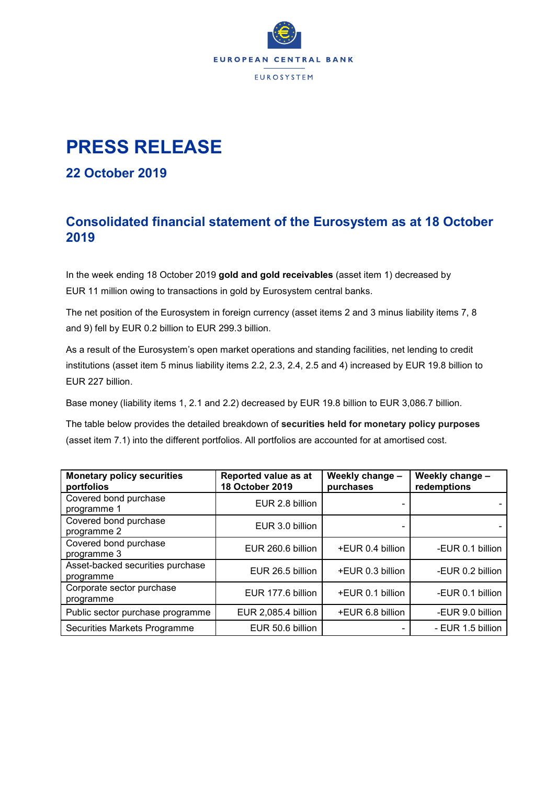

# **PRESS RELEASE**

#### **22 October 2019**

### **Consolidated financial statement of the Eurosystem as at 18 October 2019**

In the week ending 18 October 2019 **gold and gold receivables** (asset item 1) decreased by EUR 11 million owing to transactions in gold by Eurosystem central banks.

The net position of the Eurosystem in foreign currency (asset items 2 and 3 minus liability items 7, 8 and 9) fell by EUR 0.2 billion to EUR 299.3 billion.

As a result of the Eurosystem's open market operations and standing facilities, net lending to credit institutions (asset item 5 minus liability items 2.2, 2.3, 2.4, 2.5 and 4) increased by EUR 19.8 billion to EUR 227 billion.

Base money (liability items 1, 2.1 and 2.2) decreased by EUR 19.8 billion to EUR 3,086.7 billion.

The table below provides the detailed breakdown of **securities held for monetary policy purposes** (asset item 7.1) into the different portfolios. All portfolios are accounted for at amortised cost.

| <b>Monetary policy securities</b><br>portfolios | Reported value as at<br>18 October 2019 | Weekly change -<br>purchases | Weekly change -<br>redemptions |  |
|-------------------------------------------------|-----------------------------------------|------------------------------|--------------------------------|--|
| Covered bond purchase<br>programme 1            | EUR 2.8 billion                         |                              |                                |  |
| Covered bond purchase<br>programme 2            | EUR 3.0 billion                         |                              |                                |  |
| Covered bond purchase<br>programme 3            | EUR 260.6 billion                       | +EUR 0.4 billion             | -EUR 0.1 billion               |  |
| Asset-backed securities purchase<br>programme   | EUR 26.5 billion                        | +EUR 0.3 billion             | -EUR 0.2 billion               |  |
| Corporate sector purchase<br>programme          | EUR 177.6 billion                       | +EUR 0.1 billion             | -EUR 0.1 billion               |  |
| Public sector purchase programme                | EUR 2,085.4 billion                     | +EUR 6.8 billion             | -EUR 9.0 billion               |  |
| Securities Markets Programme                    | EUR 50.6 billion                        |                              | - EUR 1.5 billion              |  |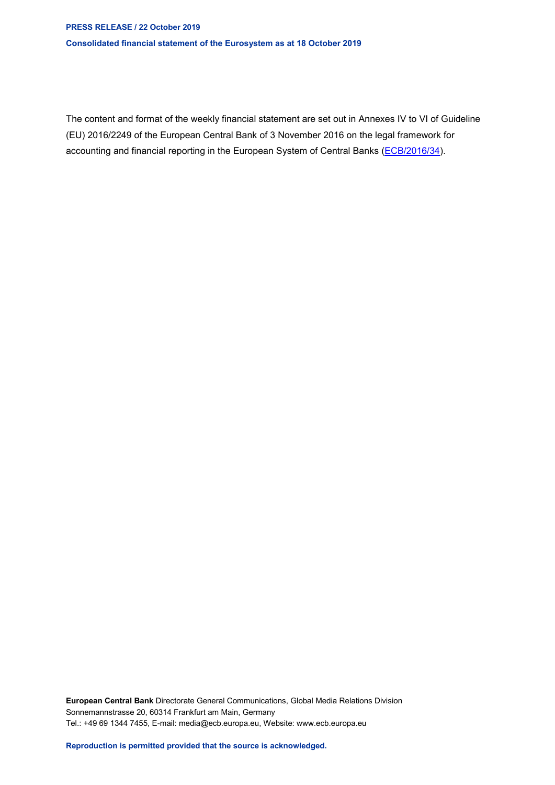#### **PRESS RELEASE / 22 October 2019 Consolidated financial statement of the Eurosystem as at 18 October 2019**

The content and format of the weekly financial statement are set out in Annexes IV to VI of Guideline (EU) 2016/2249 of the European Central Bank of 3 November 2016 on the legal framework for accounting and financial reporting in the European System of Central Banks [\(ECB/2016/34\)](http://www.ecb.europa.eu/ecb/legal/1001/1012/html/index.en.html).

**European Central Bank** Directorate General Communications, Global Media Relations Division Sonnemannstrasse 20, 60314 Frankfurt am Main, Germany Tel.: +49 69 1344 7455, E-mail: media@ecb.europa.eu, Website: www.ecb.europa.eu